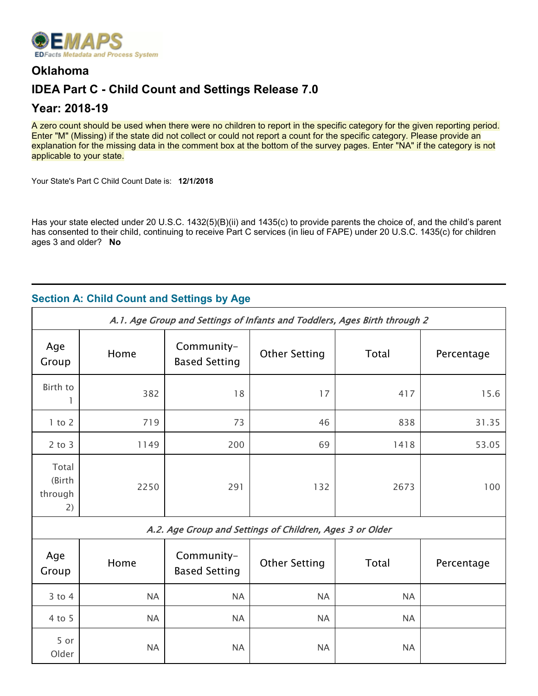

## **Oklahoma**

# **IDEA Part C - Child Count and Settings Release 7.0**

## **Year: 2018-19**

A zero count should be used when there were no children to report in the specific category for the given reporting period. Enter "M" (Missing) if the state did not collect or could not report a count for the specific category. Please provide an explanation for the missing data in the comment box at the bottom of the survey pages. Enter "NA" if the category is not applicable to your state.

Your State's Part C Child Count Date is: **12/1/2018**

Has your state elected under 20 U.S.C. 1432(5)(B)(ii) and 1435(c) to provide parents the choice of, and the child's parent has consented to their child, continuing to receive Part C services (in lieu of FAPE) under 20 U.S.C. 1435(c) for children ages 3 and older? **No**

## **Section A: Child Count and Settings by Age**

| A.1. Age Group and Settings of Infants and Toddlers, Ages Birth through 2 |      |                                    |                      |       |            |  |
|---------------------------------------------------------------------------|------|------------------------------------|----------------------|-------|------------|--|
| Age<br>Group                                                              | Home | Community-<br><b>Based Setting</b> | <b>Other Setting</b> | Total | Percentage |  |
| Birth to                                                                  | 382  | 18                                 | 17                   | 417   | 15.6       |  |
| $1$ to $2$                                                                | 719  | 73                                 | 46                   | 838   | 31.35      |  |
| $2$ to $3$                                                                | 1149 | 200                                | 69                   | 1418  | 53.05      |  |
| Total<br>(Birth<br>2250<br>291<br>132<br>2673<br>100<br>through<br>2)     |      |                                    |                      |       |            |  |
| A.2. Age Group and Settings of Children, Ages 3 or Older                  |      |                                    |                      |       |            |  |

| Age<br>Group  | Home      | Community-<br><b>Based Setting</b> | <b>Other Setting</b> | Total     | Percentage |
|---------------|-----------|------------------------------------|----------------------|-----------|------------|
| $3$ to $4$    | <b>NA</b> | <b>NA</b>                          | <b>NA</b>            | <b>NA</b> |            |
| $4$ to 5      | <b>NA</b> | <b>NA</b>                          | <b>NA</b>            | <b>NA</b> |            |
| 5 or<br>Older | <b>NA</b> | <b>NA</b>                          | <b>NA</b>            | <b>NA</b> |            |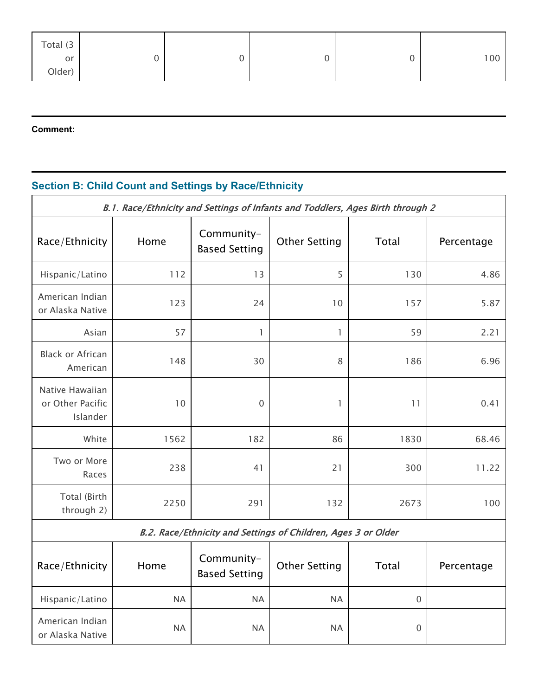| Total $(3 \mid$ |  |  |     |
|-----------------|--|--|-----|
| or              |  |  | 100 |
| Older)          |  |  |     |

## **Comment:**

# **Section B: Child Count and Settings by Race/Ethnicity**

| B.1. Race/Ethnicity and Settings of Infants and Toddlers, Ages Birth through 2 |           |                                    |                      |             |            |  |
|--------------------------------------------------------------------------------|-----------|------------------------------------|----------------------|-------------|------------|--|
| Race/Ethnicity                                                                 | Home      | Community-<br><b>Based Setting</b> | <b>Other Setting</b> | Total       | Percentage |  |
| Hispanic/Latino                                                                | 112       | 13                                 | 5                    | 130         | 4.86       |  |
| American Indian<br>or Alaska Native                                            | 123       | 24                                 | 10                   | 157         | 5.87       |  |
| Asian                                                                          | 57        | $\mathbb{I}$                       | $\mathbf{1}$         | 59          | 2.21       |  |
| <b>Black or African</b><br>American                                            | 148       | 30                                 | $\,8\,$              | 186         | 6.96       |  |
| Native Hawaiian<br>or Other Pacific<br>Islander                                | 10        | $\overline{0}$                     | 1                    | 11          | 0.41       |  |
| White                                                                          | 1562      | 182                                | 86                   | 1830        | 68.46      |  |
| Two or More<br>Races                                                           | 238       | 41                                 | 21                   | 300         | 11.22      |  |
| Total (Birth<br>through 2)                                                     | 2250      | 291                                | 132                  | 2673        | 100        |  |
| B.2. Race/Ethnicity and Settings of Children, Ages 3 or Older                  |           |                                    |                      |             |            |  |
| Race/Ethnicity                                                                 | Home      | Community-<br><b>Based Setting</b> | <b>Other Setting</b> | Total       | Percentage |  |
| Hispanic/Latino                                                                | <b>NA</b> | <b>NA</b>                          | <b>NA</b>            | $\mathbf 0$ |            |  |
| American Indian<br>or Alaska Native                                            | <b>NA</b> | <b>NA</b>                          | <b>NA</b>            | 0           |            |  |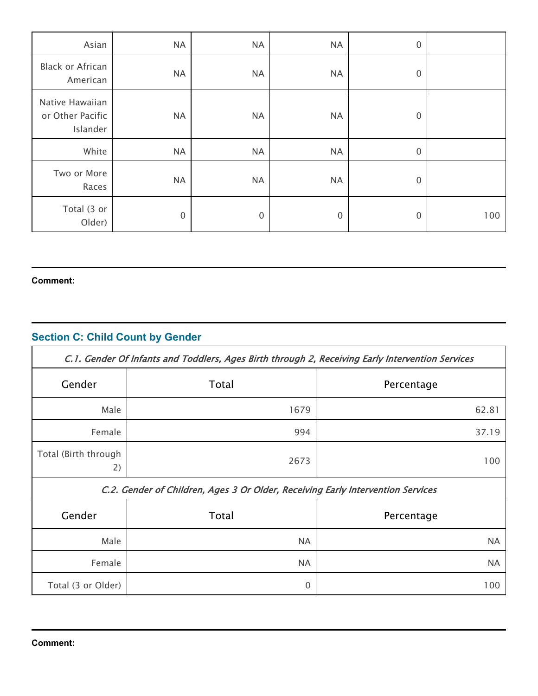| Asian                                           | <b>NA</b>   | <b>NA</b>   | <b>NA</b>   | $\mathbf 0$      |     |
|-------------------------------------------------|-------------|-------------|-------------|------------------|-----|
| Black or African<br>American                    | <b>NA</b>   | <b>NA</b>   | <b>NA</b>   | $\boldsymbol{0}$ |     |
| Native Hawaiian<br>or Other Pacific<br>Islander | <b>NA</b>   | <b>NA</b>   | <b>NA</b>   | $\mathbf 0$      |     |
| White                                           | <b>NA</b>   | <b>NA</b>   | <b>NA</b>   | $\boldsymbol{0}$ |     |
| Two or More<br>Races                            | <b>NA</b>   | <b>NA</b>   | <b>NA</b>   | $\boldsymbol{0}$ |     |
| Total (3 or<br>Older)                           | $\mathbf 0$ | $\mathbf 0$ | $\mathbf 0$ | $\mathbf{0}$     | 100 |

#### **Comment:**

# **Section C: Child Count by Gender**

| C.1. Gender Of Infants and Toddlers, Ages Birth through 2, Receiving Early Intervention Services |           |            |  |  |  |
|--------------------------------------------------------------------------------------------------|-----------|------------|--|--|--|
| Gender                                                                                           | Total     | Percentage |  |  |  |
| Male                                                                                             | 1679      | 62.81      |  |  |  |
| Female                                                                                           | 994       | 37.19      |  |  |  |
| Total (Birth through<br>2)                                                                       | 2673      | 100        |  |  |  |
| C.2. Gender of Children, Ages 3 Or Older, Receiving Early Intervention Services                  |           |            |  |  |  |
| Gender                                                                                           | Total     | Percentage |  |  |  |
| Male                                                                                             | <b>NA</b> | <b>NA</b>  |  |  |  |
| Female                                                                                           | <b>NA</b> | <b>NA</b>  |  |  |  |
| Total (3 or Older)                                                                               | 0         | 100        |  |  |  |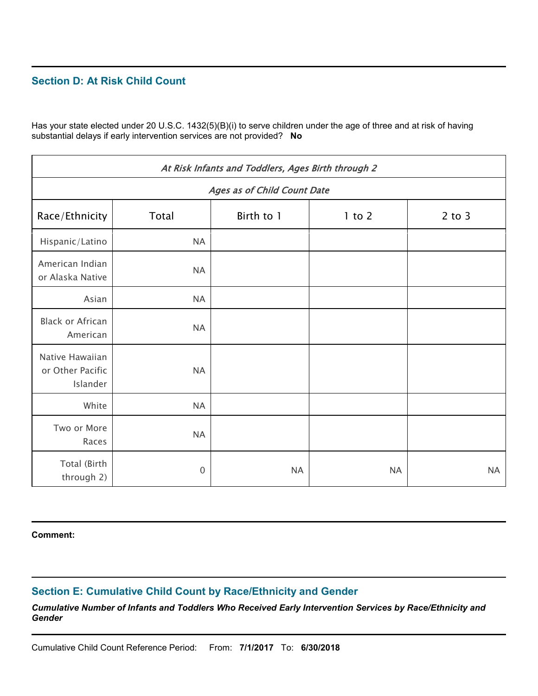### **Section D: At Risk Child Count**

Has your state elected under 20 U.S.C. 1432(5)(B)(i) to serve children under the age of three and at risk of having substantial delays if early intervention services are not provided? **No**

| At Risk Infants and Toddlers, Ages Birth through 2 |                                    |            |            |            |  |  |
|----------------------------------------------------|------------------------------------|------------|------------|------------|--|--|
|                                                    | <b>Ages as of Child Count Date</b> |            |            |            |  |  |
| Race/Ethnicity                                     | Total                              | Birth to 1 | $1$ to $2$ | $2$ to $3$ |  |  |
| Hispanic/Latino                                    | <b>NA</b>                          |            |            |            |  |  |
| American Indian<br>or Alaska Native                | <b>NA</b>                          |            |            |            |  |  |
| Asian                                              | <b>NA</b>                          |            |            |            |  |  |
| <b>Black or African</b><br>American                | <b>NA</b>                          |            |            |            |  |  |
| Native Hawaiian<br>or Other Pacific<br>Islander    | <b>NA</b>                          |            |            |            |  |  |
| White                                              | <b>NA</b>                          |            |            |            |  |  |
| Two or More<br>Races                               | <b>NA</b>                          |            |            |            |  |  |
| Total (Birth<br>through 2)                         | $\mathbf 0$                        | <b>NA</b>  | <b>NA</b>  | <b>NA</b>  |  |  |

**Comment:**

## **Section E: Cumulative Child Count by Race/Ethnicity and Gender**

*Cumulative Number of Infants and Toddlers Who Received Early Intervention Services by Race/Ethnicity and Gender*